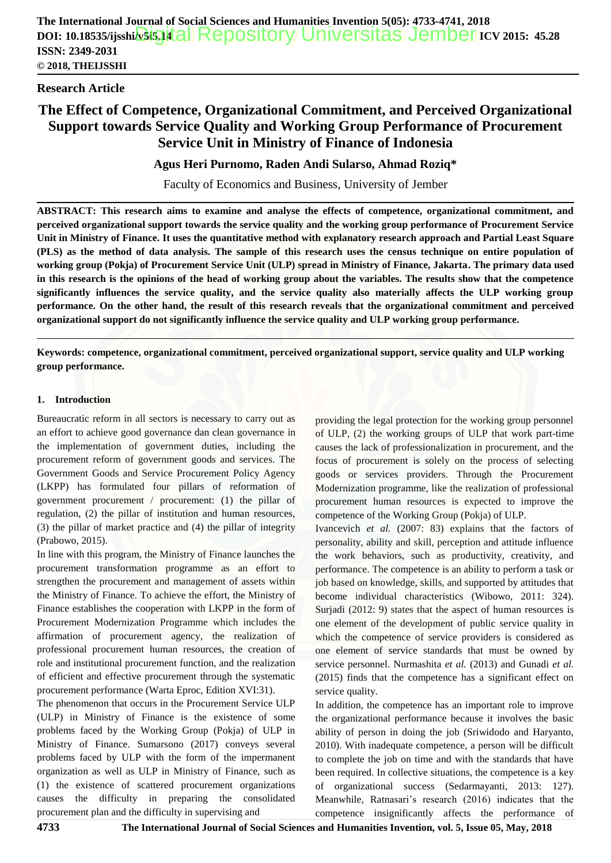# **Research Article**

 $\overline{a}$ 

# **The Effect of Competence, Organizational Commitment, and Perceived Organizational Support towards Service Quality and Working Group Performance of Procurement Service Unit in Ministry of Finance of Indonesia**

**Agus Heri Purnomo, Raden Andi Sularso, Ahmad Roziq\***

Faculty of Economics and Business, University of Jember

**ABSTRACT: This research aims to examine and analyse the effects of competence, organizational commitment, and perceive[d organizational support towards the service quality and the working group performance of Procurement](http://repository.unej.ac.id/) Service Unit in Ministry of Finance. It uses the quantitative method with explanatory research approach and Partial Least Square (PLS) as the method of data analysis. The sample of this research uses the census technique on entire population of working group (Pokja) of Procurement Service Unit (ULP) spread in Ministry of Finance, Jakarta. The primary data used in this research is the opinions of the head of working group about the variables. The results show that the competence significantly influences the service quality, and the service quality also materially affects the ULP working group performance. On the other hand, the result of this research reveals that the organizational commitment and perceived organizational support do not significantly influence the service quality and ULP working group performance.**

**Keywords: competence, organizational commitment, perceived organizational support, service quality and ULP working group performance.**

## **1. Introduction**

Bureaucratic reform in all sectors is necessary to carry out as an effort to achieve good governance dan clean governance in the implementation of government duties, including the procurement reform of government goods and services. The Government Goods and Service Procurement Policy Agency (LKPP) has formulated four pillars of reformation of government procurement / procurement: (1) the pillar of regulation, (2) the pillar of institution and human resources, (3) the pillar of market practice and (4) the pillar of integrity (Prabowo, 2015).

In line with this program, the Ministry of Finance launches the procurement transformation programme as an effort to strengthen the procurement and management of assets within the Ministry of Finance. To achieve the effort, the Ministry of Finance establishes the cooperation with LKPP in the form of Procurement Modernization Programme which includes the affirmation of procurement agency, the realization of professional procurement human resources, the creation of role and institutional procurement function, and the realization of efficient and effective procurement through the systematic procurement performance (Warta Eproc, Edition XVI:31).

The phenomenon that occurs in the Procurement Service ULP (ULP) in Ministry of Finance is the existence of some problems faced by the Working Group (Pokja) of ULP in Ministry of Finance. Sumarsono (2017) conveys several problems faced by ULP with the form of the impermanent organization as well as ULP in Ministry of Finance, such as (1) the existence of scattered procurement organizations causes the difficulty in preparing the consolidated procurement plan and the difficulty in supervising and

providing the legal protection for the working group personnel of ULP, (2) the working groups of ULP that work part-time causes the lack of professionalization in procurement, and the focus of procurement is solely on the process of selecting goods or services providers. Through the Procurement Modernization programme, like the realization of professional procurement human resources is expected to improve the competence of the Working Group (Pokja) of ULP.

Ivancevich *et al.* (2007: 83) explains that the factors of personality, ability and skill, perception and attitude influence the work behaviors, such as productivity, creativity, and performance. The competence is an ability to perform a task or job based on knowledge, skills, and supported by attitudes that become individual characteristics (Wibowo, 2011: 324). Surjadi (2012: 9) states that the aspect of human resources is one element of the development of public service quality in which the competence of service providers is considered as one element of service standards that must be owned by service personnel. Nurmashita *et al.* (2013) and Gunadi *et al.* (2015) finds that the competence has a significant effect on service quality.

In addition, the competence has an important role to improve the organizational performance because it involves the basic ability of person in doing the job (Sriwidodo and Haryanto, 2010). With inadequate competence, a person will be difficult to complete the job on time and with the standards that have been required. In collective situations, the competence is a key of organizational success (Sedarmayanti, 2013: 127). Meanwhile, Ratnasari's research (2016) indicates that the competence insignificantly affects the performance of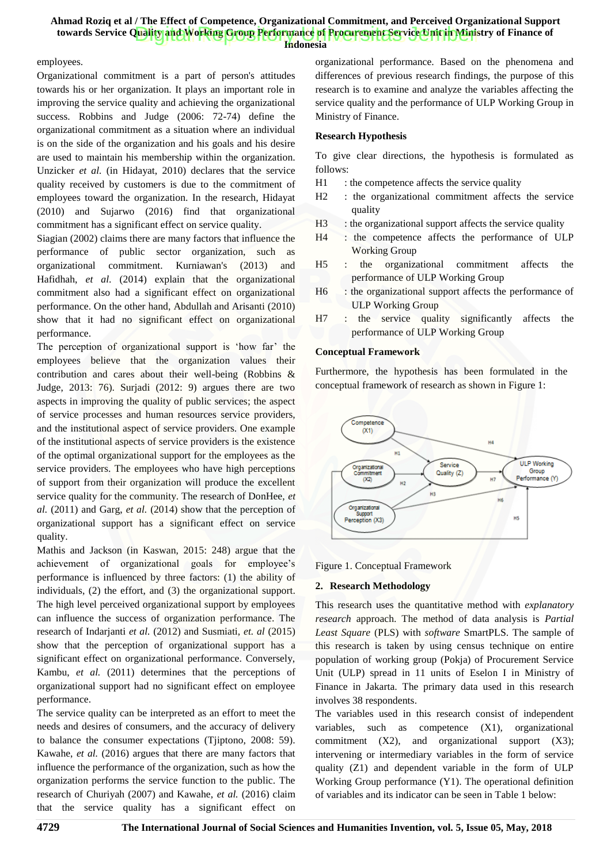**Indonesia**

#### employees.

Organizational commitment is a part of person's attitudes towards his or her organization. It plays an important role in improving the service quality and achieving the organizational success. Robbins and Judge (2006: 72-74) define the organizational commitment as a situation where an individual is on the side of the organization and his goals and his desire are used to maintain his membership within the organization. Unzicker *et al.* (in Hidayat, 2010) declares that the service quality received by customers is due to the commitment of employees toward the organization. In the research, Hidayat (2010) and Sujarwo (2016) find that organizational commitment has a significant effect on service quality.

Siagian (2002) claims there are many factors that influence the performance of public sector organization, such as organizational commitment. Kurniawan's (2013) and Hafidhah, *et al*. (2014) explain that the organizational commitment also had a significant effect on organizational performance. On the other hand, Abdullah and Arisanti (2010) show that it had no significant effect on organizational performance.

The perception of organizational support is 'how far' the employees believe that the organization values their contribution and cares about their well-being (Robbins & Judge, 2013: 76). Surjadi (2012: 9) argues there are two aspects in improving the quality of public services; the aspect of service processes and human resources service providers, and the institutional aspect of service providers. One example of the institutional aspects of service providers is the existence of the optimal organizational support for the employees as the service providers. The employees who have high perceptions of support from their organization will produce the excellent service quality for the community. The research of DonHee, *et al.* (2011) and Garg, *et al.* (2014) show that the perception of organizational support has a significant effect on service quality.

Mathis and Jackson (in Kaswan, 2015: 248) argue that the achievement of organizational goals for employee's performance is influenced by three factors: (1) the ability of individuals, (2) the effort, and (3) the organizational support. The high level perceived organizational support by employees can influence the success of organization performance. The research of Indarjanti *et al.* (2012) and Susmiati, *et. al* (2015) show th[at the perception of organizational support has a](http://repository.unej.ac.id/)  significant effect on organizational performance. Conversely, Kambu, *et al.* (2011) determines that the perceptions of organizational support had no significant effect on employee performance.

The service quality can be interpreted as an effort to meet the needs and desires of consumers, and the accuracy of delivery to balance the consumer expectations (Tjiptono, 2008: 59). Kawahe, *et al.* (2016) argues that there are many factors that influence the performance of the organization, such as how the organization performs the service function to the public. The research of Churiyah (2007) and Kawahe, *et al.* (2016) claim that the service quality has a significant effect on

organizational performance. Based on the phenomena and differences of previous research findings, the purpose of this research is to examine and analyze the variables affecting the service quality and the performance of ULP Working Group in Ministry of Finance.

### **Research Hypothesis**

To give clear directions, the hypothesis is formulated as follows:

- H1 : the competence affects the service quality
- H2 : the organizational commitment affects the service quality
- H3 : the organizational support affects the service quality
- H4 : the competence affects the performance of ULP Working Group
- H5 : the organizational commitment affects the performance of ULP Working Group
- H6 : the organizational support affects the performance of ULP Working Group
- H7 : the service quality significantly affects the performance of ULP Working Group

#### **Conceptual Framework**

Furthermore, the hypothesis has been formulated in the conceptual framework of research as shown in Figure 1:



Figure 1. Conceptual Framework

### **2. Research Methodology**

This research uses the quantitative method with *explanatory research* approach. The method of data analysis is *Partial Least Square* (PLS) with *software* SmartPLS. The sample of this research is taken by using census technique on entire population of working group (Pokja) of Procurement Service Unit (ULP) spread in 11 units of Eselon I in Ministry of Finance in Jakarta. The primary data used in this research involves 38 respondents.

The variables used in this research consist of independent variables, such as competence (X1), organizational commitment (X2), and organizational support (X3); intervening or intermediary variables in the form of service quality (Z1) and dependent variable in the form of ULP Working Group performance (Y1). The operational definition of variables and its indicator can be seen in Table 1 below: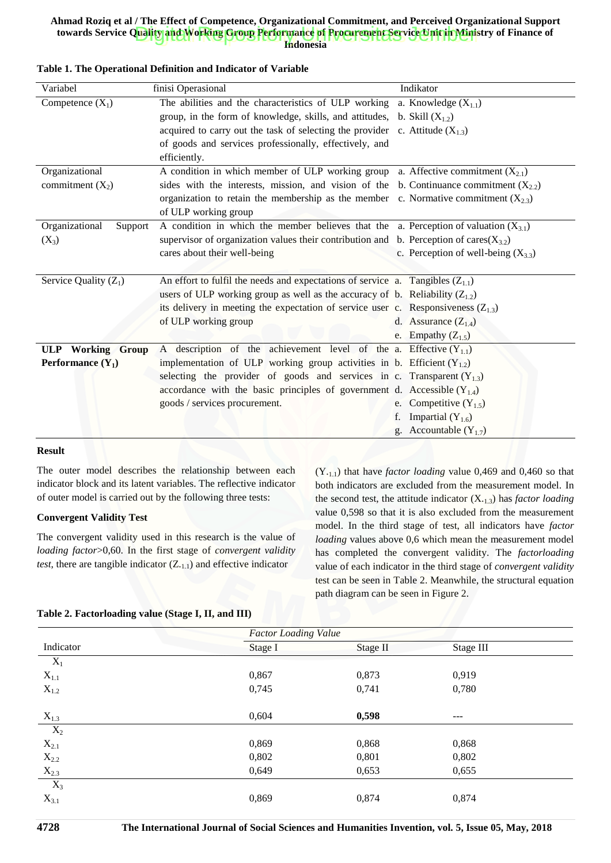**Indonesia**

| Variabel                   | finisi Operasional                                                                           | Indikator                               |
|----------------------------|----------------------------------------------------------------------------------------------|-----------------------------------------|
| Competence $(X_1)$         | The abilities and the characteristics of ULP working a. Knowledge $(X_{1,1})$                |                                         |
|                            | group, in the form of knowledge, skills, and attitudes, b. Skill $(X_{1,2})$                 |                                         |
|                            | acquired to carry out the task of selecting the provider c. Attitude $(X_1, x_2)$            |                                         |
|                            | of goods and services professionally, effectively, and                                       |                                         |
|                            | efficiently.                                                                                 |                                         |
| Organizational             | A condition in which member of ULP working group                                             | a. Affective commitment $(X_{2,1})$     |
| commitment $(X_2)$         | sides with the interests, mission, and vision of the b. Continuance commitment $(X_{2,2})$   |                                         |
|                            | organization to retain the membership as the member c. Normative commitment $(X_{2,3})$      |                                         |
|                            | of ULP working group                                                                         |                                         |
| Organizational<br>Support  | A condition in which the member believes that the a. Perception of valuation $(X_{3,1})$     |                                         |
| $(X_3)$                    | supervisor of organization values their contribution and b. Perception of cares( $X_{3,2}$ ) |                                         |
|                            | cares about their well-being                                                                 | c. Perception of well-being $(X_{3,3})$ |
|                            |                                                                                              |                                         |
| Service Quality $(Z_1)$    | An effort to fulfil the needs and expectations of service a. Tangibles $(Z_{1,1})$           |                                         |
|                            | users of ULP working group as well as the accuracy of b. Reliability $(Z_{1,2})$             |                                         |
|                            | its delivery in meeting the expectation of service user c. Responsiveness $(Z_{1,3})$        |                                         |
|                            | of ULP working group                                                                         | d. Assurance $(Z_{1,4})$                |
|                            |                                                                                              | e. Empathy $(Z_{1.5})$                  |
| <b>ULP</b> Working Group   | A description of the achievement level of the a. Effective $(Y_{1,1})$                       |                                         |
| <b>Performance</b> $(Y_1)$ | implementation of ULP working group activities in b. Efficient $(Y_{1,2})$                   |                                         |
|                            | selecting the provider of goods and services in c. Transparent $(Y_{1,3})$                   |                                         |
|                            | accordance with the basic principles of government d. Accessible $(Y_{1,4})$                 |                                         |
|                            | goods / services procurement.                                                                | e. Competitive $(Y_1, y)$               |
|                            |                                                                                              | Impartial $(Y_{1,6})$<br>f.             |
|                            |                                                                                              | Accountable $(Y_{1,7})$<br>g.           |
|                            |                                                                                              |                                         |

### **Table 1. The Operational Definition and Indicator of Variable**

#### **Result**

The outer model describes the relationship between each indicator block and its latent variables. The reflective indicator of outer model is carried out by the following three tests:

### **Convergent Validity Test**

The convergent validity used in this research is the value of *loading factor*>0,60. In the first stage of *convergent validity test*, there are tangible indicator  $(Z_{.1.1})$  and effective indicator

(Y.1.1) that have *factor loading* value 0,469 and 0,460 so that both indicators are excluded from the measurement model. In the second test, the attitude indicator (X.1.3) has *factor loading* value 0,598 so that it is also excluded from the measurement model. In the third stage of test, all indicators have *factor loading* values above 0,6 which mean the measurement model has completed the convergent validity. The *factorloading* value of each indicator in the third stage of *convergent validity* test can be seen in Table 2. Meanwhile, the structural equation path diagram can be seen in Figure 2.

### **Table 2. Factorloading value (Stage I, II, and III)**

|                    | <b>Factor Loading Value</b> |          |           |  |  |
|--------------------|-----------------------------|----------|-----------|--|--|
| Indicator          | Stage I                     | Stage II | Stage III |  |  |
| $X_1$              |                             |          |           |  |  |
| $X_{1.1}$          | 0,867                       | 0,873    | 0,919     |  |  |
| $X_{1.2}$          | 0,745                       | 0,741    | 0,780     |  |  |
|                    |                             |          |           |  |  |
| $X_{1,3}$          | 0,604                       | 0,598    | $---$     |  |  |
| $\overline{X_2}$   |                             |          |           |  |  |
| $X_{2.1}$          | 0,869                       | 0,868    | 0,868     |  |  |
| $\mathbf{X}_{2.2}$ | 0,802                       | 0,801    | 0,802     |  |  |
| $X_{2.3}$          | 0,649                       | 0,653    | 0,655     |  |  |
| $X_3$              |                             |          |           |  |  |
| $X_{3.1}$          | 0,869                       | 0,874    | 0,874     |  |  |
|                    |                             |          |           |  |  |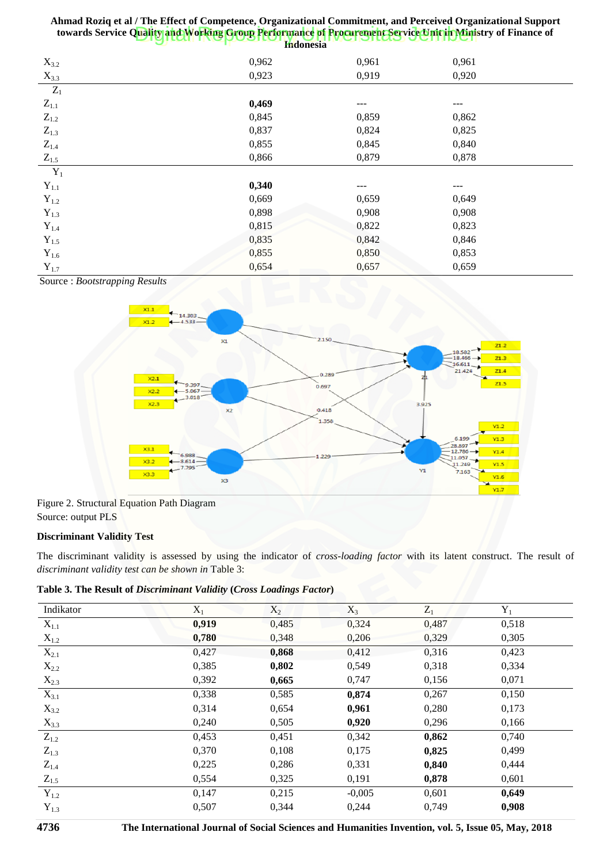| $X_{3.2}$          | 0,962 | 0,961 | 0,961 |  |
|--------------------|-------|-------|-------|--|
| $X_{3.3}$          | 0,923 | 0,919 | 0,920 |  |
| $\mathbf{Z}_1$     |       |       |       |  |
| $Z_{1.1}$          | 0,469 |       | ---   |  |
| $\mathbf{Z}_{1.2}$ | 0,845 | 0,859 | 0,862 |  |
| $Z_{1.3}$          | 0,837 | 0,824 | 0,825 |  |
| $\mathbf{Z}_{1.4}$ | 0,855 | 0,845 | 0,840 |  |
| $Z_{1.5}$          | 0,866 | 0,879 | 0,878 |  |
| $Y_1$              |       |       |       |  |
| $\mathbf{Y}_{1.1}$ | 0,340 | ---   | ---   |  |
| $Y_{1.2}$          | 0,669 | 0,659 | 0,649 |  |
| $\mathbf{Y}_{1.3}$ | 0,898 | 0,908 | 0,908 |  |
| $\mathbf{Y}_{1.4}$ | 0,815 | 0,822 | 0,823 |  |
| $\mathbf{Y}_{1.5}$ | 0,835 | 0,842 | 0,846 |  |
| $Y_{1.6}$          | 0,855 | 0,850 | 0,853 |  |
| $\mathbf{Y}_{1.7}$ | 0,654 | 0,657 | 0,659 |  |

Source : *Bootstrapping Results*



Figure 2. Structural Equation Path Diagram Source: output PLS

## **Discriminant Validity Test**

The dis[criminant validity is assessed by using the indicator](http://repository.unej.ac.id/) of *cross-loading factor* with its latent construct. The result of *discriminant validity test can be shown in* Table 3:

**Table 3. The Result of** *Discriminant Validity* **(***Cross Loadings Factor***)**

| Indikator          | $X_1$ | $X_2$ | $X_3$    | $Z_1$ | $\mathbf{Y}_1$ |
|--------------------|-------|-------|----------|-------|----------------|
| $X_{1.1}$          | 0,919 | 0,485 | 0,324    | 0,487 | 0,518          |
| $X_{1.2}$          | 0,780 | 0,348 | 0,206    | 0,329 | 0,305          |
| $X_{2.1}$          | 0,427 | 0,868 | 0,412    | 0,316 | 0,423          |
| $X_{2.2}$          | 0,385 | 0,802 | 0,549    | 0,318 | 0,334          |
| $X_{2.3}$          | 0,392 | 0,665 | 0,747    | 0,156 | 0,071          |
| $X_{3.1}$          | 0,338 | 0,585 | 0,874    | 0,267 | 0,150          |
| $X_{3.2}$          | 0,314 | 0,654 | 0,961    | 0,280 | 0,173          |
| $X_{3.3}$          | 0,240 | 0,505 | 0,920    | 0,296 | 0,166          |
| $\mathbf{Z}_{1.2}$ | 0,453 | 0,451 | 0,342    | 0,862 | 0,740          |
| $Z_{1.3}$          | 0,370 | 0,108 | 0,175    | 0,825 | 0,499          |
| $Z_{1.4}$          | 0,225 | 0,286 | 0,331    | 0,840 | 0,444          |
| $Z_{1.5}$          | 0,554 | 0,325 | 0,191    | 0,878 | 0,601          |
| $Y_{1.2}$          | 0,147 | 0,215 | $-0,005$ | 0,601 | 0,649          |
| $Y_{1.3}$          | 0,507 | 0,344 | 0,244    | 0,749 | 0,908          |
|                    |       |       |          |       |                |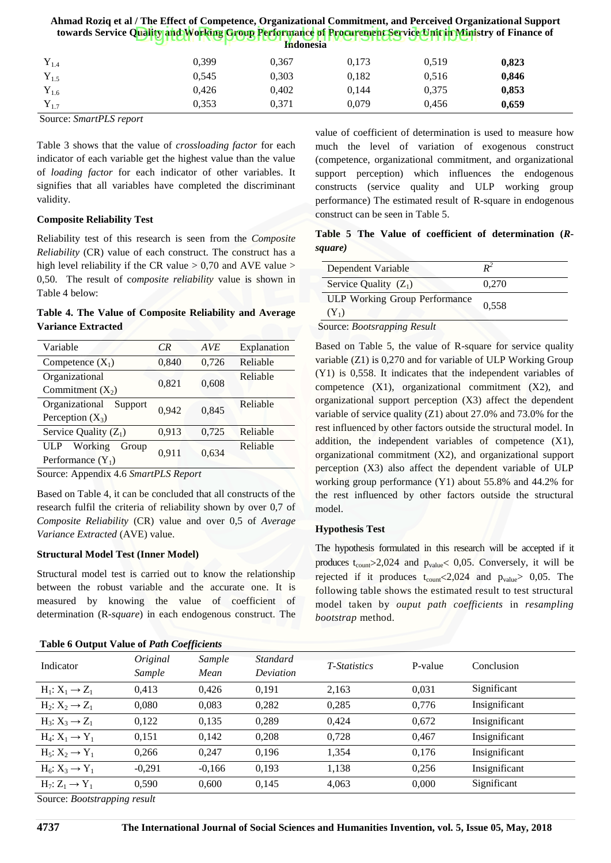| Ahmad Roziq et al / The Effect of Competence, Organizational Commitment, and Perceived Organizational Support<br>towards Service Quality and Working Group Performance of Procurement Service Unit in Ministry of Finance of<br><b>Indonesia</b> |       |       |       |       |       |
|--------------------------------------------------------------------------------------------------------------------------------------------------------------------------------------------------------------------------------------------------|-------|-------|-------|-------|-------|
| $Y_{1.4}$                                                                                                                                                                                                                                        | 0.399 | 0.367 | 0.173 | 0.519 | 0,823 |
| $Y_{1.5}$                                                                                                                                                                                                                                        | 0.545 | 0.303 | 0.182 | 0.516 | 0.846 |
| $Y_{1.6}$                                                                                                                                                                                                                                        | 0.426 | 0.402 | 0.144 | 0,375 | 0,853 |
| $Y_{1.7}$                                                                                                                                                                                                                                        | 0.353 | 0.371 | 0.079 | 0.456 | 0.659 |

Source: *SmartPLS report*

Table 3 shows that the value of *crossloading factor* for each indicator of each variable get the highest value than the value of *loading factor* for each indicator of other variables. It signifies that all variables have completed the discriminant validity.

### **Composite Reliability Test**

Reliability test of this research is seen from the *Composite Reliability* (CR) value of each construct. The construct has a high level reliability if the CR value  $> 0.70$  and AVE value  $>$ 0,50. The result of c*omposite reliability* value is shown in Table 4 below:

## **Table 4. The Value of Composite Reliability and Average Variance Extracted**

| Variable                  | CR    | <b>AVE</b> | Explanation |
|---------------------------|-------|------------|-------------|
| Competence $(X_1)$        | 0,840 | 0,726      | Reliable    |
| Organizational            | 0,821 | 0,608      | Reliable    |
| Commitment $(X_2)$        |       |            |             |
| Organizational<br>Support | 0.942 | 0,845      | Reliable    |
| Perception $(X_3)$        |       |            |             |
| Service Quality $(Z_1)$   | 0,913 | 0,725      | Reliable    |
| Working<br>ULP<br>Group   | 0,911 | 0,634      | Reliable    |
| Performance $(Y_1)$       |       |            |             |
|                           |       |            |             |

Source: Appendix 4.6 *SmartPLS Report*

Based on Table 4, it can be concluded that all constructs of the research fulfil the criteria of reliability shown by over 0,7 of *Composite Reliability* (CR) value and over 0,5 of *Average Variance Extracted* (AVE) value.

### **Structural Model Test (Inner Model)**

Structural model test is carried out to know the relationship between [the robust variable and the accurate one. It is](http://repository.unej.ac.id/)  measured by knowing the value of coefficient of determination (R-*square*) in each endogenous construct. The

## **Table 6 Output Value of** *Path Coefficients*

value of coefficient of determination is used to measure how much the level of variation of exogenous construct (competence, organizational commitment, and organizational support perception) which influences the endogenous constructs (service quality and ULP working group performance) The estimated result of R-square in endogenous construct can be seen in Table 5.

**Table 5 The Value of coefficient of determination (***Rsquare)*

| Dependent Variable                              |       |
|-------------------------------------------------|-------|
| Service Quality $(Z_1)$                         | 0.270 |
| <b>ULP Working Group Performance</b><br>$(Y_1)$ | 0.558 |

Source: *Bootsrapping Result*

Based on Table 5, the value of R-square for service quality variable (Z1) is 0,270 and for variable of ULP Working Group (Y1) is 0,558. It indicates that the independent variables of competence  $(X1)$ , organizational commitment  $(X2)$ , and organizational support perception (X3) affect the dependent variable of service quality (Z1) about 27.0% and 73.0% for the rest influenced by other factors outside the structural model. In addition, the independent variables of competence (X1), organizational commitment (X2), and organizational support perception (X3) also affect the dependent variable of ULP working group performance (Y1) about 55.8% and 44.2% for the rest influenced by other factors outside the structural model.

## **Hypothesis Test**

The hypothesis formulated in this research will be accepted if it produces  $t_{\text{count}} > 2,024$  and  $p_{\text{value}} < 0,05$ . Conversely, it will be rejected if it produces  $t_{\text{count}} < 2,024$  and  $p_{\text{value}} > 0,05$ . The following table shows the estimated result to test structural model taken by *ouput path coefficients* in *resampling bootstrap* method.

| Table 6 Output Value of <i>Path Coefficients</i> |                    |                |                       |              |         |               |  |
|--------------------------------------------------|--------------------|----------------|-----------------------|--------------|---------|---------------|--|
| Indicator                                        | Original<br>Sample | Sample<br>Mean | Standard<br>Deviation | T-Statistics | P-value | Conclusion    |  |
| $H_1: X_1 \rightarrow Z_1$                       | 0,413              | 0.426          | 0,191                 | 2,163        | 0,031   | Significant   |  |
| $H_2: X_2 \rightarrow Z_1$                       | 0,080              | 0,083          | 0,282                 | 0,285        | 0,776   | Insignificant |  |
| $H_3: X_3 \rightarrow Z_1$                       | 0,122              | 0,135          | 0,289                 | 0,424        | 0,672   | Insignificant |  |
| $H_4: X_1 \rightarrow Y_1$                       | 0,151              | 0,142          | 0,208                 | 0,728        | 0,467   | Insignificant |  |
| $H_5: X_2 \rightarrow Y_1$                       | 0,266              | 0,247          | 0,196                 | 1,354        | 0,176   | Insignificant |  |
| $H_6: X_3 \rightarrow Y_1$                       | $-0,291$           | $-0,166$       | 0,193                 | 1,138        | 0,256   | Insignificant |  |
| $H_7: Z_1 \rightarrow Y_1$                       | 0,590              | 0,600          | 0,145                 | 4,063        | 0,000   | Significant   |  |
|                                                  |                    |                |                       |              |         |               |  |

Source: *Bootstrapping result*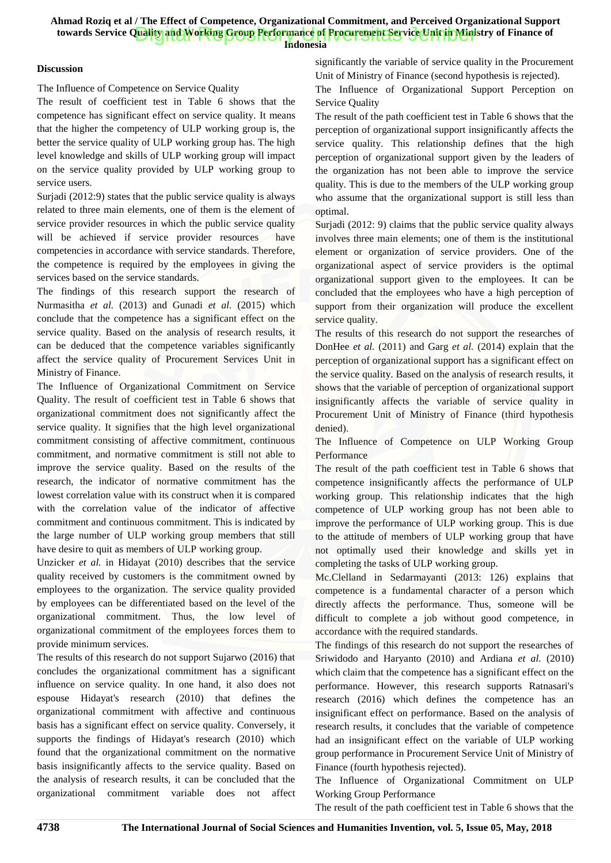**Indonesia**

## **Discussion**

The Influence of Competence on Service Quality

The result of coefficient test in Table 6 shows that the competence has significant effect on service quality. It means that the higher the competency of ULP working group is, the better the service quality of ULP working group has. The high level knowledge and skills of ULP working group will impact on the service quality provided by ULP working group to service users.

Surjadi (2012:9) states that the public service quality is always related to three main elements, one of them is the element of service provider resources in which the public service quality will be achieved if service provider resources have competencies in accordance with service standards. Therefore, the competence is required by the employees in giving the services based on the service standards.

The findings of this research support the research of Nurmasitha *et al.* (2013) and Gunadi *et al.* (2015) which conclude that the competence has a significant effect on the service quality. Based on the analysis of research results, it can be deduced that the competence variables significantly affect the service quality of Procurement Services Unit in Ministry of Finance.

The Influence of Organizational Commitment on Service Quality. The result of coefficient test in Table 6 shows that organizational commitment does not significantly affect the service quality. It signifies that the high level organizational commitment consisting of affective commitment, continuous commitment, and normative commitment is still not able to improve the service quality. Based on the results of the research, the indicator of normative commitment has the lowest correlation value with its construct when it is compared with the correlation value of the indicator of affective commitment and continuous commitment. This is indicated by the large number of ULP working group members that still have desire to quit as members of ULP working group.

Unzicker *et al.* in Hidayat (2010) describes that the service quality received by customers is the commitment owned by employees to the organization. The service quality provided by employees can be differentiated based on the level of the organizational commitment. Thus, the low level of organiza[tional commitment of the employees forces them to](http://repository.unej.ac.id/)  provide minimum services.

The results of this research do not support Sujarwo (2016) that concludes the organizational commitment has a significant influence on service quality. In one hand, it also does not espouse Hidayat's research (2010) that defines the organizational commitment with affective and continuous basis has a significant effect on service quality. Conversely, it supports the findings of Hidayat's research (2010) which found that the organizational commitment on the normative basis insignificantly affects to the service quality. Based on the analysis of research results, it can be concluded that the organizational commitment variable does not affect

significantly the variable of service quality in the Procurement Unit of Ministry of Finance (second hypothesis is rejected).

The Influence of Organizational Support Perception on Service Quality

The result of the path coefficient test in Table 6 shows that the perception of organizational support insignificantly affects the service quality. This relationship defines that the high perception of organizational support given by the leaders of the organization has not been able to improve the service quality. This is due to the members of the ULP working group who assume that the organizational support is still less than optimal.

Surjadi (2012: 9) claims that the public service quality always involves three main elements; one of them is the institutional element or organization of service providers. One of the organizational aspect of service providers is the optimal organizational support given to the employees. It can be concluded that the employees who have a high perception of support from their organization will produce the excellent service quality.

The results of this research do not support the researches of DonHee *et al.* (2011) and Garg *et al.* (2014) explain that the perception of organizational support has a significant effect on the service quality. Based on the analysis of research results, it shows that the variable of perception of organizational support insignificantly affects the variable of service quality in Procurement Unit of Ministry of Finance (third hypothesis denied).

The Influence of Competence on ULP Working Group Performance

The result of the path coefficient test in Table 6 shows that competence insignificantly affects the performance of ULP working group. This relationship indicates that the high competence of ULP working group has not been able to improve the performance of ULP working group. This is due to the attitude of members of ULP working group that have not optimally used their knowledge and skills yet in completing the tasks of ULP working group.

Mc.Clelland in Sedarmayanti (2013: 126) explains that competence is a fundamental character of a person which directly affects the performance. Thus, someone will be difficult to complete a job without good competence, in accordance with the required standards.

The findings of this research do not support the researches of Sriwidodo and Haryanto (2010) and Ardiana *et al.* (2010) which claim that the competence has a significant effect on the performance. However, this research supports Ratnasari's research (2016) which defines the competence has an insignificant effect on performance. Based on the analysis of research results, it concludes that the variable of competence had an insignificant effect on the variable of ULP working group performance in Procurement Service Unit of Ministry of Finance (fourth hypothesis rejected).

The Influence of Organizational Commitment on ULP Working Group Performance

The result of the path coefficient test in Table 6 shows that the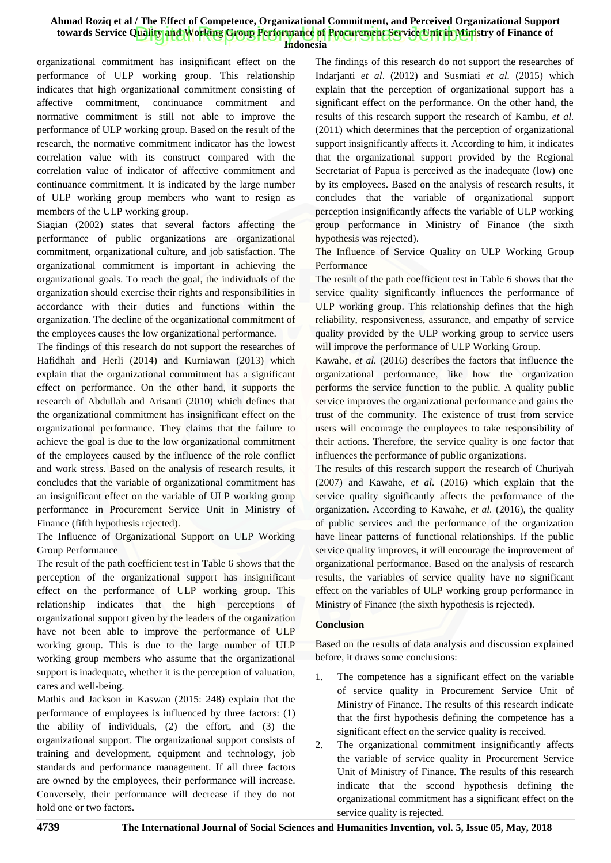**Indonesia**

organizational commitment has insignificant effect on the performance of ULP working group. This relationship indicates that high organizational commitment consisting of affective commitment, continuance commitment and normative commitment is still not able to improve the performance of ULP working group. Based on the result of the research, the normative commitment indicator has the lowest correlation value with its construct compared with the correlation value of indicator of affective commitment and continuance commitment. It is indicated by the large number of ULP working group members who want to resign as members of the ULP working group.

Siagian (2002) states that several factors affecting the performance of public organizations are organizational commitment, organizational culture, and job satisfaction. The organizational commitment is important in achieving the organizational goals. To reach the goal, the individuals of the organization should exercise their rights and responsibilities in accordance with their duties and functions within the organization. The decline of the organizational commitment of the employees causes the low organizational performance.

The findings of this research do not support the researches of Hafidhah and Herli (2014) and Kurniawan (2013) which explain that the organizational commitment has a significant effect on performance. On the other hand, it supports the research of Abdullah and Arisanti (2010) which defines that the organizational commitment has insignificant effect on the organizational performance. They claims that the failure to achieve the goal is due to the low organizational commitment of the employees caused by the influence of the role conflict and work stress. Based on the analysis of research results, it concludes that the variable of organizational commitment has an insignificant effect on the variable of ULP working group performance in Procurement Service Unit in Ministry of Finance (fifth hypothesis rejected).

The Influence of Organizational Support on ULP Working Group Performance

The result of the path coefficient test in Table 6 shows that the percepti[on of the organizational support has insignificant](http://repository.unej.ac.id/)  effect on the performance of ULP working group. This relationship indicates that the high perceptions of organizational support given by the leaders of the organization have not been able to improve the performance of ULP working group. This is due to the large number of ULP working group members who assume that the organizational support is inadequate, whether it is the perception of valuation, cares and well-being.

Mathis and Jackson in Kaswan (2015: 248) explain that the performance of employees is influenced by three factors: (1) the ability of individuals, (2) the effort, and (3) the organizational support. The organizational support consists of training and development, equipment and technology, job standards and performance management. If all three factors are owned by the employees, their performance will increase. Conversely, their performance will decrease if they do not hold one or two factors.

The findings of this research do not support the researches of Indarjanti *et al*. (2012) and Susmiati *et al.* (2015) which explain that the perception of organizational support has a significant effect on the performance. On the other hand, the results of this research support the research of Kambu, *et al.* (2011) which determines that the perception of organizational support insignificantly affects it. According to him, it indicates that the organizational support provided by the Regional Secretariat of Papua is perceived as the inadequate (low) one by its employees. Based on the analysis of research results, it concludes that the variable of organizational support perception insignificantly affects the variable of ULP working group performance in Ministry of Finance (the sixth hypothesis was rejected).

The Influence of Service Quality on ULP Working Group Performance

The result of the path coefficient test in Table 6 shows that the service quality significantly influences the performance of ULP working group. This relationship defines that the high reliability, responsiveness, assurance, and empathy of service quality provided by the ULP working group to service users will improve the performance of ULP Working Group.

Kawahe, *et al.* (2016) describes the factors that influence the organizational performance, like how the organization performs the service function to the public. A quality public service improves the organizational performance and gains the trust of the community. The existence of trust from service users will encourage the employees to take responsibility of their actions. Therefore, the service quality is one factor that influences the performance of public organizations.

The results of this research support the research of Churiyah (2007) and Kawahe, *et al.* (2016) which explain that the service quality significantly affects the performance of the organization. According to Kawahe, *et al.* (2016), the quality of public services and the performance of the organization have linear patterns of functional relationships. If the public service quality improves, it will encourage the improvement of organizational performance. Based on the analysis of research results, the variables of service quality have no significant effect on the variables of ULP working group performance in Ministry of Finance (the sixth hypothesis is rejected).

## **Conclusion**

Based on the results of data analysis and discussion explained before, it draws some conclusions:

- 1. The competence has a significant effect on the variable of service quality in Procurement Service Unit of Ministry of Finance. The results of this research indicate that the first hypothesis defining the competence has a significant effect on the service quality is received.
- The organizational commitment insignificantly affects the variable of service quality in Procurement Service Unit of Ministry of Finance. The results of this research indicate that the second hypothesis defining the organizational commitment has a significant effect on the service quality is rejected.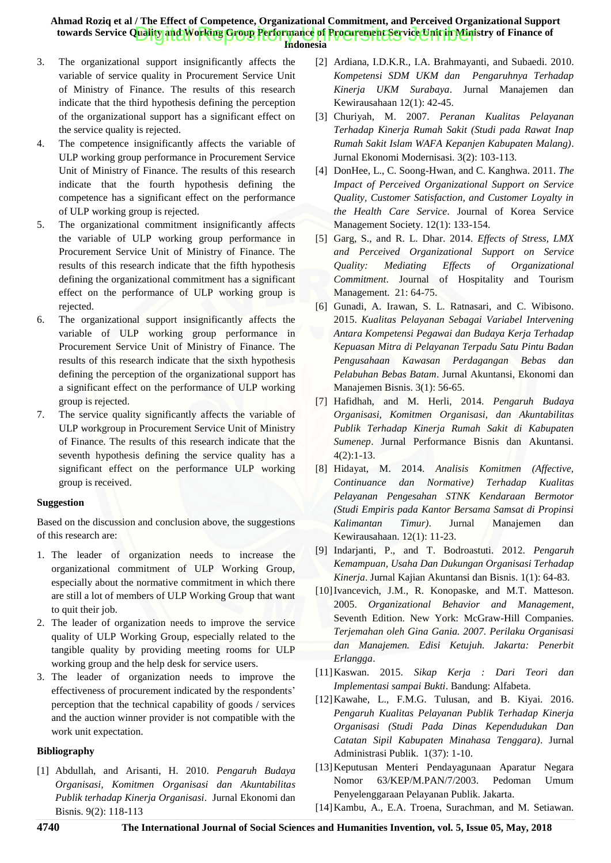- **Indonesia**
- 3. The organizational support insignificantly affects the variable of service quality in Procurement Service Unit of Ministry of Finance. The results of this research indicate that the third hypothesis defining the perception of the organizational support has a significant effect on the service quality is rejected.
- 4. The competence insignificantly affects the variable of ULP working group performance in Procurement Service Unit of Ministry of Finance. The results of this research indicate that the fourth hypothesis defining the competence has a significant effect on the performance of ULP working group is rejected.
- 5. The organizational commitment insignificantly affects the variable of ULP working group performance in Procurement Service Unit of Ministry of Finance. The results of this research indicate that the fifth hypothesis defining the organizational commitment has a significant effect on the performance of ULP working group is rejected.
- 6. The organizational support insignificantly affects the variable of ULP working group performance in Procurement Service Unit of Ministry of Finance. The results of this research indicate that the sixth hypothesis def[ining the perception of the organizational support has](http://repository.unej.ac.id/)  a significant effect on the performance of ULP working group is rejected.
- 7. The service quality significantly affects the variable of ULP workgroup in Procurement Service Unit of Ministry of Finance. The results of this research indicate that the seventh hypothesis defining the service quality has a significant effect on the performance ULP working group is received.

#### **Suggestion**

Based on the discussion and conclusion above, the suggestions of this research are:

- 1. The leader of organization needs to increase the organizational commitment of ULP Working Group, especially about the normative commitment in which there are still a lot of members of ULP Working Group that want to quit their job.
- 2. The leader of organization needs to improve the service quality of ULP Working Group, especially related to the tangible quality by providing meeting rooms for ULP working group and the help desk for service users.
- 3. The leader of organization needs to improve the effectiveness of procurement indicated by the respondents' perception that the technical capability of goods / services and the auction winner provider is not compatible with the work unit expectation.

### **Bibliography**

[1] Abdullah, and Arisanti, H. 2010. *Pengaruh Budaya Organisasi, Komitmen Organisasi dan Akuntabilitas Publik terhadap Kinerja Organisasi*. Jurnal Ekonomi dan Bisnis. 9(2): 118-113

- [2] Ardiana, I.D.K.R., I.A. Brahmayanti, and Subaedi. 2010. *Kompetensi SDM UKM dan Pengaruhnya Terhadap Kinerja UKM Surabaya*. Jurnal Manajemen dan Kewirausahaan 12(1): 42-45.
- [3] Churiyah, M. 2007. *Peranan Kualitas Pelayanan Terhadap Kinerja Rumah Sakit (Studi pada Rawat Inap Rumah Sakit Islam WAFA Kepanjen Kabupaten Malang)*. Jurnal Ekonomi Modernisasi. 3(2): 103-113.
- [4] DonHee, L., C. Soong-Hwan, and C. Kanghwa. 2011. *The Impact of Perceived Organizational Support on Service Quality, Customer Satisfaction, and Customer Loyalty in the Health Care Service*. Journal of Korea Service Management Society. 12(1): 133-154.
- [5] Garg, S., and R. L. Dhar. 2014. *Effects of Stress, LMX and Perceived Organizational Support on Service Quality: Mediating Effects of Organizational Commitment*. Journal of Hospitality and Tourism Management. 21: 64-75.
- [6] Gunadi, A. Irawan, S. L. Ratnasari, and C. Wibisono. 2015. *Kualitas Pelayanan Sebagai Variabel Intervening Antara Kompetensi Pegawai dan Budaya Kerja Terhadap Kepuasan Mitra di Pelayanan Terpadu Satu Pintu Badan Pengusahaan Kawasan Perdagangan Bebas dan Pelabuhan Bebas Batam*. Jurnal Akuntansi, Ekonomi dan Manajemen Bisnis. 3(1): 56-65.
- [7] Hafidhah, and M. Herli, 2014. *Pengaruh Budaya Organisasi, Komitmen Organisasi, dan Akuntabilitas Publik Terhadap Kinerja Rumah Sakit di Kabupaten Sumenep*. Jurnal Performance Bisnis dan Akuntansi. 4(2):1-13.
- [8] Hidayat, M. 2014. *Analisis Komitmen (Affective, Continuance dan Normative) Terhadap Kualitas Pelayanan Pengesahan STNK Kendaraan Bermotor (Studi Empiris pada Kantor Bersama Samsat di Propinsi Kalimantan Timur)*. Jurnal Manajemen dan Kewirausahaan. 12(1): 11-23.
- [9] Indarjanti, P., and T. Bodroastuti. 2012. *Pengaruh Kemampuan, Usaha Dan Dukungan Organisasi Terhadap Kinerja*. Jurnal Kajian Akuntansi dan Bisnis. 1(1): 64-83.
- [10]Ivancevich, J.M., R. Konopaske, and M.T. Matteson. 2005. *Organizational Behavior and Management*, Seventh Edition. New York: McGraw-Hill Companies. *Terjemahan oleh Gina Gania. 2007. Perilaku Organisasi dan Manajemen. Edisi Ketujuh. Jakarta: Penerbit Erlangga*.
- [11]Kaswan. 2015. *Sikap Kerja : Dari Teori dan Implementasi sampai Bukti*. Bandung: Alfabeta.
- [12]Kawahe, L., F.M.G. Tulusan, and B. Kiyai. 2016. *Pengaruh Kualitas Pelayanan Publik Terhadap Kinerja Organisasi (Studi Pada Dinas Kependudukan Dan Catatan Sipil Kabupaten Minahasa Tenggara)*. Jurnal Administrasi Publik. 1(37): 1-10.
- [13]Keputusan Menteri Pendayagunaan Aparatur Negara Nomor 63/KEP/M.PAN/7/2003. Pedoman Umum Penyelenggaraan Pelayanan Publik. Jakarta.
- [14] Kambu, A., E.A. Troena, Surachman, and M. Setiawan.